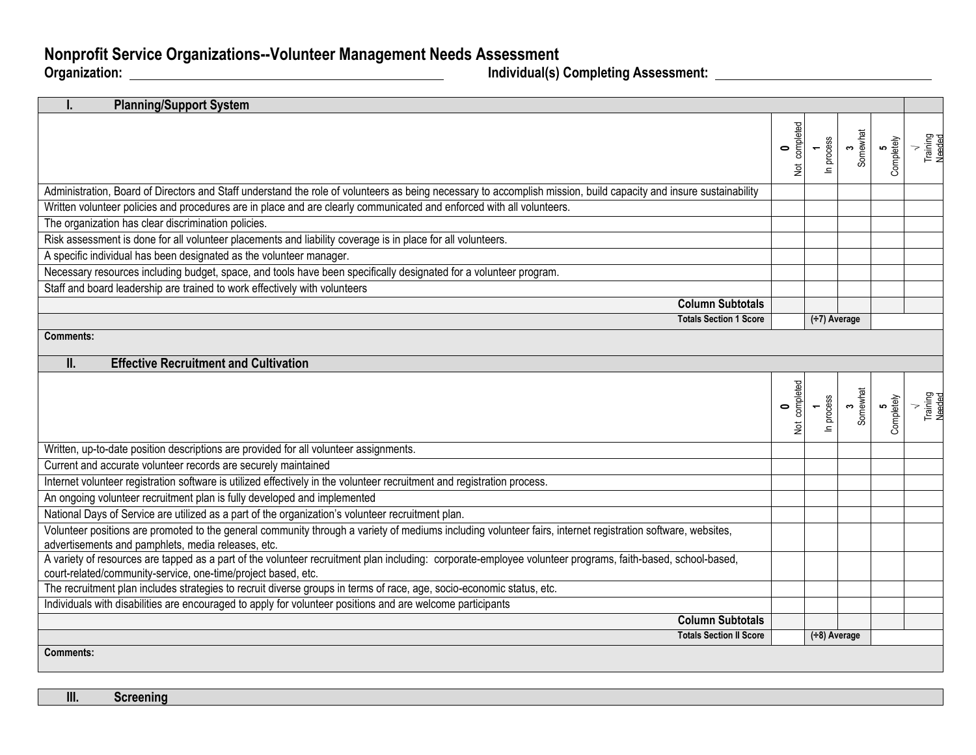## **Nonprofit Service Organizations--Volunteer Management Needs Assessment**

**Organization:** <u>Individual Completing Assessment: **Assessment: Completing Assessment:**  $\overline{\phantom{a}}$ </u>

| <b>Planning/Support System</b>                                                                                                                                                                                              |                            |                     |               |                 |                    |
|-----------------------------------------------------------------------------------------------------------------------------------------------------------------------------------------------------------------------------|----------------------------|---------------------|---------------|-----------------|--------------------|
|                                                                                                                                                                                                                             | Not completed<br>$\bullet$ | In process          | 3<br>Somewhat | 5<br>Completely | Training<br>Needed |
| Administration, Board of Directors and Staff understand the role of volunteers as being necessary to accomplish mission, build capacity and insure sustainability                                                           |                            |                     |               |                 |                    |
| Written volunteer policies and procedures are in place and are clearly communicated and enforced with all volunteers.                                                                                                       |                            |                     |               |                 |                    |
| The organization has clear discrimination policies.                                                                                                                                                                         |                            |                     |               |                 |                    |
| Risk assessment is done for all volunteer placements and liability coverage is in place for all volunteers.                                                                                                                 |                            |                     |               |                 |                    |
| A specific individual has been designated as the volunteer manager.                                                                                                                                                         |                            |                     |               |                 |                    |
| Necessary resources including budget, space, and tools have been specifically designated for a volunteer program.                                                                                                           |                            |                     |               |                 |                    |
| Staff and board leadership are trained to work effectively with volunteers                                                                                                                                                  |                            |                     |               |                 |                    |
| <b>Column Subtotals</b>                                                                                                                                                                                                     |                            |                     |               |                 |                    |
| <b>Totals Section 1 Score</b>                                                                                                                                                                                               |                            | $(\div 7)$ Average  |               |                 |                    |
| Comments:                                                                                                                                                                                                                   |                            |                     |               |                 |                    |
| II.<br><b>Effective Recruitment and Cultivation</b>                                                                                                                                                                         |                            |                     |               |                 |                    |
|                                                                                                                                                                                                                             |                            |                     |               |                 |                    |
|                                                                                                                                                                                                                             | Not completed              | process<br>$\equiv$ | 3<br>Somewhat | 5<br>Completely | Training<br>Needed |
| Written, up-to-date position descriptions are provided for all volunteer assignments.                                                                                                                                       |                            |                     |               |                 |                    |
| Current and accurate volunteer records are securely maintained                                                                                                                                                              |                            |                     |               |                 |                    |
| Internet volunteer registration software is utilized effectively in the volunteer recruitment and registration process.                                                                                                     |                            |                     |               |                 |                    |
| An ongoing volunteer recruitment plan is fully developed and implemented                                                                                                                                                    |                            |                     |               |                 |                    |
| National Days of Service are utilized as a part of the organization's volunteer recruitment plan.                                                                                                                           |                            |                     |               |                 |                    |
| Volunteer positions are promoted to the general community through a variety of mediums including volunteer fairs, internet registration software, websites,<br>advertisements and pamphlets, media releases, etc.           |                            |                     |               |                 |                    |
| A variety of resources are tapped as a part of the volunteer recruitment plan including: corporate-employee volunteer programs, faith-based, school-based,<br>court-related/community-service, one-time/project based, etc. |                            |                     |               |                 |                    |
| The recruitment plan includes strategies to recruit diverse groups in terms of race, age, socio-economic status, etc.                                                                                                       |                            |                     |               |                 |                    |
| Individuals with disabilities are encouraged to apply for volunteer positions and are welcome participants                                                                                                                  |                            |                     |               |                 |                    |
| <b>Column Subtotals</b>                                                                                                                                                                                                     |                            |                     |               |                 |                    |
| <b>Totals Section II Score</b>                                                                                                                                                                                              | $(\div 8)$ Average         |                     |               |                 |                    |
| <b>Comments:</b>                                                                                                                                                                                                            |                            |                     |               |                 |                    |

**III. Screening**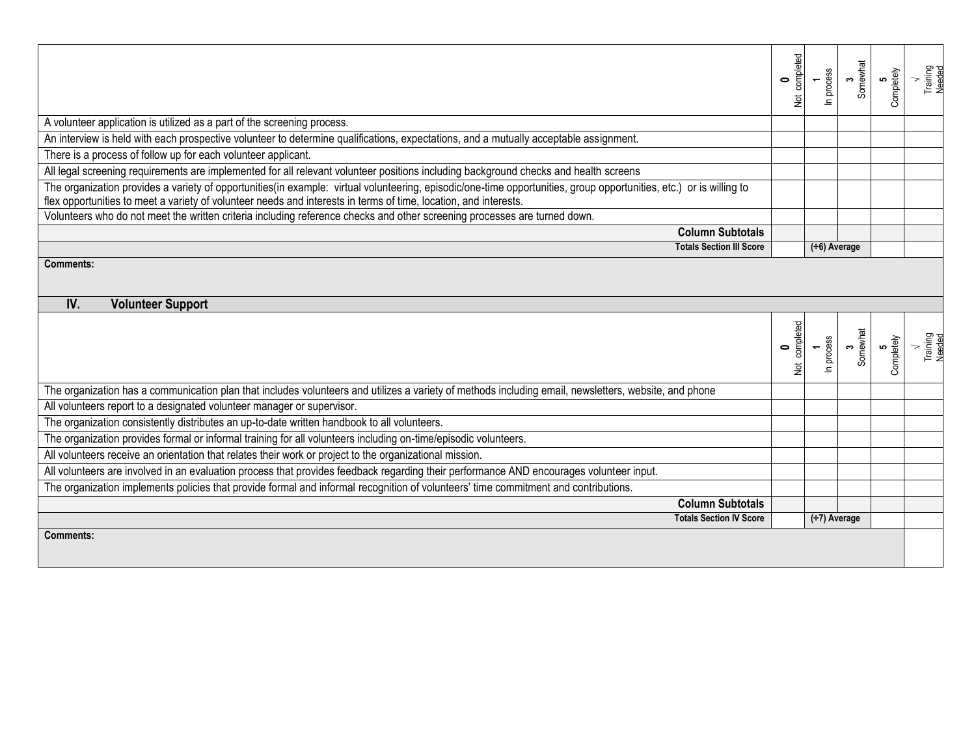|                                                                                                                                                                                                                                                                                         |                                 | Not completed | In process         | 3<br>Somewhat | 5<br>Completely | Training<br>Needed |
|-----------------------------------------------------------------------------------------------------------------------------------------------------------------------------------------------------------------------------------------------------------------------------------------|---------------------------------|---------------|--------------------|---------------|-----------------|--------------------|
| A volunteer application is utilized as a part of the screening process.                                                                                                                                                                                                                 |                                 |               |                    |               |                 |                    |
| An interview is held with each prospective volunteer to determine qualifications, expectations, and a mutually acceptable assignment.                                                                                                                                                   |                                 |               |                    |               |                 |                    |
| There is a process of follow up for each volunteer applicant.                                                                                                                                                                                                                           |                                 |               |                    |               |                 |                    |
| All legal screening requirements are implemented for all relevant volunteer positions including background checks and health screens                                                                                                                                                    |                                 |               |                    |               |                 |                    |
| The organization provides a variety of opportunities(in example: virtual volunteering, episodic/one-time opportunities, group opportunities, etc.) or is willing to<br>flex opportunities to meet a variety of volunteer needs and interests in terms of time, location, and interests. |                                 |               |                    |               |                 |                    |
| Volunteers who do not meet the written criteria including reference checks and other screening processes are turned down.                                                                                                                                                               |                                 |               |                    |               |                 |                    |
|                                                                                                                                                                                                                                                                                         | <b>Column Subtotals</b>         |               |                    |               |                 |                    |
|                                                                                                                                                                                                                                                                                         | <b>Totals Section III Score</b> |               | $(\div 6)$ Average |               |                 |                    |
| <b>Comments:</b>                                                                                                                                                                                                                                                                        |                                 |               |                    |               |                 |                    |
| IV.<br><b>Volunteer Support</b>                                                                                                                                                                                                                                                         |                                 |               |                    |               |                 |                    |
|                                                                                                                                                                                                                                                                                         |                                 | Not completed | In process         | 3<br>Somewhat | 5<br>Completely | Training<br>Needed |
| The organization has a communication plan that includes volunteers and utilizes a variety of methods including email, newsletters, website, and phone                                                                                                                                   |                                 |               |                    |               |                 |                    |
| All volunteers report to a designated volunteer manager or supervisor.                                                                                                                                                                                                                  |                                 |               |                    |               |                 |                    |
| The organization consistently distributes an up-to-date written handbook to all volunteers.                                                                                                                                                                                             |                                 |               |                    |               |                 |                    |
| The organization provides formal or informal training for all volunteers including on-time/episodic volunteers.                                                                                                                                                                         |                                 |               |                    |               |                 |                    |
| All volunteers receive an orientation that relates their work or project to the organizational mission.                                                                                                                                                                                 |                                 |               |                    |               |                 |                    |
| All volunteers are involved in an evaluation process that provides feedback regarding their performance AND encourages volunteer input.                                                                                                                                                 |                                 |               |                    |               |                 |                    |
| The organization implements policies that provide formal and informal recognition of volunteers' time commitment and contributions.                                                                                                                                                     |                                 |               |                    |               |                 |                    |
|                                                                                                                                                                                                                                                                                         | <b>Column Subtotals</b>         |               |                    |               |                 |                    |
| <b>Totals Section IV Score</b>                                                                                                                                                                                                                                                          |                                 |               | $(\div 7)$ Average |               |                 |                    |
| Comments:                                                                                                                                                                                                                                                                               |                                 |               |                    |               |                 |                    |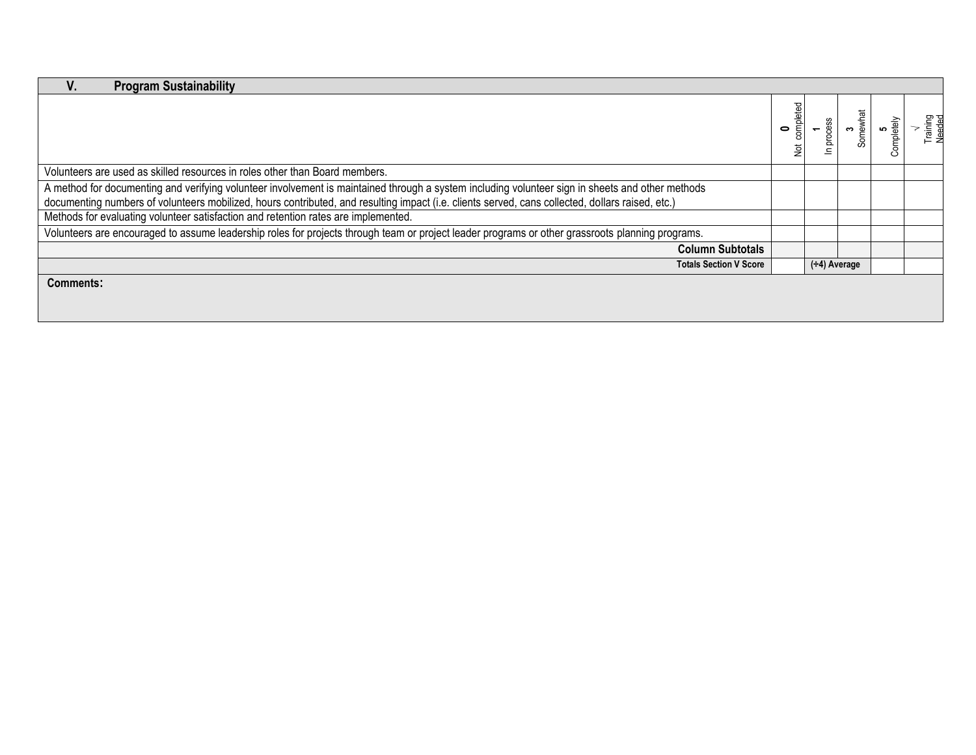| <b>Program Sustainability</b>                                                                                                                                                                                                                                                                        |                     |              |          |            |                    |
|------------------------------------------------------------------------------------------------------------------------------------------------------------------------------------------------------------------------------------------------------------------------------------------------------|---------------------|--------------|----------|------------|--------------------|
|                                                                                                                                                                                                                                                                                                      | completed<br>0<br>ğ | SS<br>proces | Somewhat | Completely | Training<br>Needed |
| Volunteers are used as skilled resources in roles other than Board members.                                                                                                                                                                                                                          |                     |              |          |            |                    |
| A method for documenting and verifying volunteer involvement is maintained through a system including volunteer sign in sheets and other methods<br>documenting numbers of volunteers mobilized, hours contributed, and resulting impact (i.e. clients served, cans collected, dollars raised, etc.) |                     |              |          |            |                    |
| Methods for evaluating volunteer satisfaction and retention rates are implemented.                                                                                                                                                                                                                   |                     |              |          |            |                    |
| Volunteers are encouraged to assume leadership roles for projects through team or project leader programs or other grassroots planning programs.                                                                                                                                                     |                     |              |          |            |                    |
| <b>Column Subtotals</b>                                                                                                                                                                                                                                                                              |                     |              |          |            |                    |
| <b>Totals Section V Score</b>                                                                                                                                                                                                                                                                        | $(-4)$ Average      |              |          |            |                    |
| <b>Comments:</b>                                                                                                                                                                                                                                                                                     |                     |              |          |            |                    |